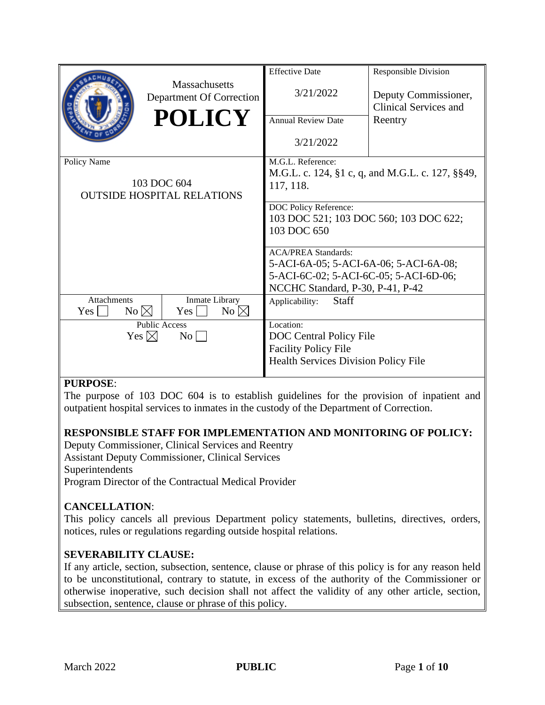|                                   |                                           | <b>Effective Date</b>                            | <b>Responsible Division</b>                          |
|-----------------------------------|-------------------------------------------|--------------------------------------------------|------------------------------------------------------|
|                                   | Massachusetts<br>Department Of Correction | 3/21/2022                                        | Deputy Commissioner,<br><b>Clinical Services and</b> |
|                                   | <b>POLICY</b>                             | <b>Annual Review Date</b>                        |                                                      |
|                                   |                                           |                                                  | Reentry                                              |
|                                   |                                           | 3/21/2022                                        |                                                      |
| Policy Name                       |                                           | M.G.L. Reference:                                |                                                      |
|                                   |                                           | M.G.L. c. 124, §1 c, q, and M.G.L. c. 127, §§49, |                                                      |
| 103 DOC 604                       |                                           | 117, 118.                                        |                                                      |
| <b>OUTSIDE HOSPITAL RELATIONS</b> |                                           |                                                  |                                                      |
|                                   |                                           | DOC Policy Reference:                            |                                                      |
|                                   |                                           | 103 DOC 521; 103 DOC 560; 103 DOC 622;           |                                                      |
|                                   |                                           | 103 DOC 650                                      |                                                      |
|                                   |                                           | <b>ACA/PREA Standards:</b>                       |                                                      |
|                                   |                                           | 5-ACI-6A-05; 5-ACI-6A-06; 5-ACI-6A-08;           |                                                      |
|                                   |                                           | 5-ACI-6C-02; 5-ACI-6C-05; 5-ACI-6D-06;           |                                                      |
|                                   |                                           | NCCHC Standard, P-30, P-41, P-42                 |                                                      |
| Attachments                       | Inmate Library                            | Staff<br>Applicability:                          |                                                      |
| Yes                               | $No \boxtimes$<br>Yes<br>No $\boxtimes$   |                                                  |                                                      |
| <b>Public Access</b>              |                                           | Location:                                        |                                                      |
| Yes $\boxtimes$<br>$\rm{No}$      |                                           | DOC Central Policy File                          |                                                      |
|                                   |                                           | <b>Facility Policy File</b>                      |                                                      |
|                                   |                                           | <b>Health Services Division Policy File</b>      |                                                      |
|                                   |                                           |                                                  |                                                      |

# **PURPOSE**:

The purpose of 103 DOC 604 is to establish guidelines for the provision of inpatient and outpatient hospital services to inmates in the custody of the Department of Correction.

# **RESPONSIBLE STAFF FOR IMPLEMENTATION AND MONITORING OF POLICY:**

Deputy Commissioner, Clinical Services and Reentry Assistant Deputy Commissioner, Clinical Services Superintendents Program Director of the Contractual Medical Provider

# **CANCELLATION**:

This policy cancels all previous Department policy statements, bulletins, directives, orders, notices, rules or regulations regarding outside hospital relations.

#### **SEVERABILITY CLAUSE:**

If any article, section, subsection, sentence, clause or phrase of this policy is for any reason held to be unconstitutional, contrary to statute, in excess of the authority of the Commissioner or otherwise inoperative, such decision shall not affect the validity of any other article, section, subsection, sentence, clause or phrase of this policy.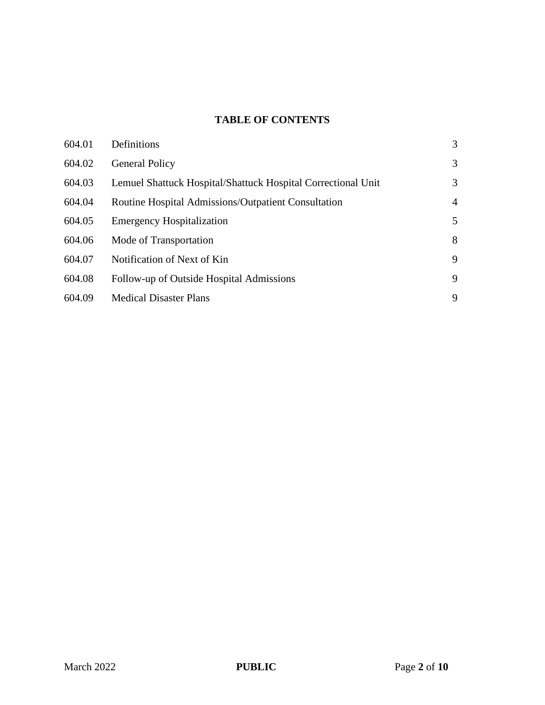# **TABLE OF CONTENTS**

| 604.01 | Definitions                                                  | 3              |
|--------|--------------------------------------------------------------|----------------|
| 604.02 | <b>General Policy</b>                                        | 3              |
| 604.03 | Lemuel Shattuck Hospital/Shattuck Hospital Correctional Unit | 3              |
| 604.04 | Routine Hospital Admissions/Outpatient Consultation          | $\overline{4}$ |
| 604.05 | <b>Emergency Hospitalization</b>                             | 5              |
| 604.06 | Mode of Transportation                                       | 8              |
| 604.07 | Notification of Next of Kin                                  | 9              |
| 604.08 | Follow-up of Outside Hospital Admissions                     | 9              |
| 604.09 | <b>Medical Disaster Plans</b>                                | 9              |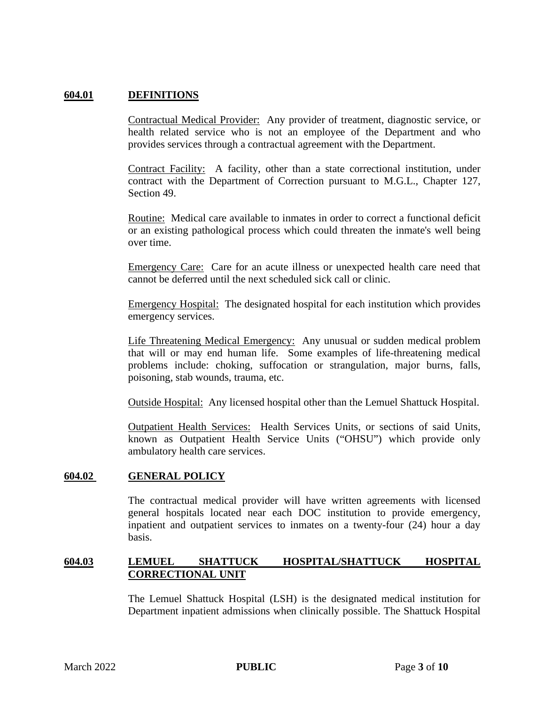### **604.01 DEFINITIONS**

Contractual Medical Provider: Any provider of treatment, diagnostic service, or health related service who is not an employee of the Department and who provides services through a contractual agreement with the Department.

Contract Facility: A facility, other than a state correctional institution, under contract with the Department of Correction pursuant to M.G.L., Chapter 127, Section 49.

Routine: Medical care available to inmates in order to correct a functional deficit or an existing pathological process which could threaten the inmate's well being over time.

Emergency Care: Care for an acute illness or unexpected health care need that cannot be deferred until the next scheduled sick call or clinic.

Emergency Hospital: The designated hospital for each institution which provides emergency services.

Life Threatening Medical Emergency: Any unusual or sudden medical problem that will or may end human life. Some examples of life-threatening medical problems include: choking, suffocation or strangulation, major burns, falls, poisoning, stab wounds, trauma, etc.

Outside Hospital: Any licensed hospital other than the Lemuel Shattuck Hospital.

Outpatient Health Services: Health Services Units, or sections of said Units, known as Outpatient Health Service Units ("OHSU") which provide only ambulatory health care services.

#### **604.02 GENERAL POLICY**

The contractual medical provider will have written agreements with licensed general hospitals located near each DOC institution to provide emergency, inpatient and outpatient services to inmates on a twenty-four (24) hour a day basis.

## **604.03 LEMUEL SHATTUCK HOSPITAL/SHATTUCK HOSPITAL CORRECTIONAL UNIT**

The Lemuel Shattuck Hospital (LSH) is the designated medical institution for Department inpatient admissions when clinically possible. The Shattuck Hospital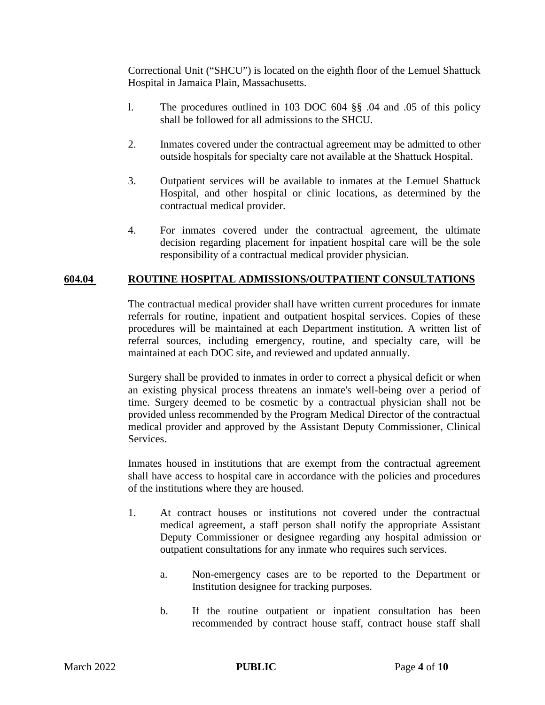Correctional Unit ("SHCU") is located on the eighth floor of the Lemuel Shattuck Hospital in Jamaica Plain, Massachusetts.

- l. The procedures outlined in 103 DOC 604 §§ .04 and .05 of this policy shall be followed for all admissions to the SHCU.
- 2. Inmates covered under the contractual agreement may be admitted to other outside hospitals for specialty care not available at the Shattuck Hospital.
- 3. Outpatient services will be available to inmates at the Lemuel Shattuck Hospital, and other hospital or clinic locations, as determined by the contractual medical provider.
- 4. For inmates covered under the contractual agreement, the ultimate decision regarding placement for inpatient hospital care will be the sole responsibility of a contractual medical provider physician.

#### **604.04 ROUTINE HOSPITAL ADMISSIONS/OUTPATIENT CONSULTATIONS**

The contractual medical provider shall have written current procedures for inmate referrals for routine, inpatient and outpatient hospital services. Copies of these procedures will be maintained at each Department institution. A written list of referral sources, including emergency, routine, and specialty care, will be maintained at each DOC site, and reviewed and updated annually.

Surgery shall be provided to inmates in order to correct a physical deficit or when an existing physical process threatens an inmate's well-being over a period of time. Surgery deemed to be cosmetic by a contractual physician shall not be provided unless recommended by the Program Medical Director of the contractual medical provider and approved by the Assistant Deputy Commissioner, Clinical Services.

Inmates housed in institutions that are exempt from the contractual agreement shall have access to hospital care in accordance with the policies and procedures of the institutions where they are housed.

- 1. At contract houses or institutions not covered under the contractual medical agreement, a staff person shall notify the appropriate Assistant Deputy Commissioner or designee regarding any hospital admission or outpatient consultations for any inmate who requires such services.
	- a. Non-emergency cases are to be reported to the Department or Institution designee for tracking purposes.
	- b. If the routine outpatient or inpatient consultation has been recommended by contract house staff, contract house staff shall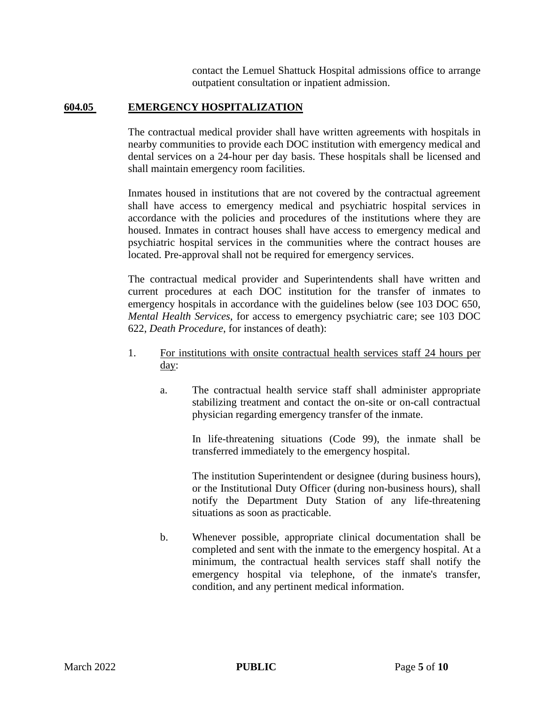contact the Lemuel Shattuck Hospital admissions office to arrange outpatient consultation or inpatient admission.

## **604.05 EMERGENCY HOSPITALIZATION**

The contractual medical provider shall have written agreements with hospitals in nearby communities to provide each DOC institution with emergency medical and dental services on a 24-hour per day basis. These hospitals shall be licensed and shall maintain emergency room facilities.

Inmates housed in institutions that are not covered by the contractual agreement shall have access to emergency medical and psychiatric hospital services in accordance with the policies and procedures of the institutions where they are housed. Inmates in contract houses shall have access to emergency medical and psychiatric hospital services in the communities where the contract houses are located. Pre-approval shall not be required for emergency services.

The contractual medical provider and Superintendents shall have written and current procedures at each DOC institution for the transfer of inmates to emergency hospitals in accordance with the guidelines below (see 103 DOC 650, *Mental Health Services*, for access to emergency psychiatric care; see 103 DOC 622, *Death Procedure*, for instances of death):

- 1. For institutions with onsite contractual health services staff 24 hours per day:
	- a. The contractual health service staff shall administer appropriate stabilizing treatment and contact the on-site or on-call contractual physician regarding emergency transfer of the inmate.

In life-threatening situations (Code 99), the inmate shall be transferred immediately to the emergency hospital.

The institution Superintendent or designee (during business hours), or the Institutional Duty Officer (during non-business hours), shall notify the Department Duty Station of any life-threatening situations as soon as practicable.

b. Whenever possible, appropriate clinical documentation shall be completed and sent with the inmate to the emergency hospital. At a minimum, the contractual health services staff shall notify the emergency hospital via telephone, of the inmate's transfer, condition, and any pertinent medical information.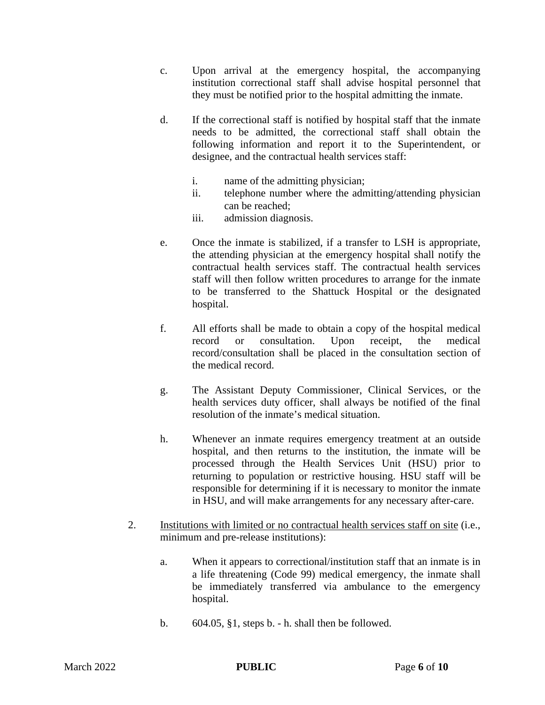- c. Upon arrival at the emergency hospital, the accompanying institution correctional staff shall advise hospital personnel that they must be notified prior to the hospital admitting the inmate.
- d. If the correctional staff is notified by hospital staff that the inmate needs to be admitted, the correctional staff shall obtain the following information and report it to the Superintendent, or designee, and the contractual health services staff:
	- i. name of the admitting physician;
	- ii. telephone number where the admitting/attending physician can be reached;
	- iii. admission diagnosis.
- e. Once the inmate is stabilized, if a transfer to LSH is appropriate, the attending physician at the emergency hospital shall notify the contractual health services staff. The contractual health services staff will then follow written procedures to arrange for the inmate to be transferred to the Shattuck Hospital or the designated hospital.
- f. All efforts shall be made to obtain a copy of the hospital medical record or consultation. Upon receipt, the medical record/consultation shall be placed in the consultation section of the medical record.
- g. The Assistant Deputy Commissioner, Clinical Services, or the health services duty officer, shall always be notified of the final resolution of the inmate's medical situation.
- h. Whenever an inmate requires emergency treatment at an outside hospital, and then returns to the institution, the inmate will be processed through the Health Services Unit (HSU) prior to returning to population or restrictive housing. HSU staff will be responsible for determining if it is necessary to monitor the inmate in HSU, and will make arrangements for any necessary after-care.
- 2. Institutions with limited or no contractual health services staff on site (i.e., minimum and pre-release institutions):
	- a. When it appears to correctional/institution staff that an inmate is in a life threatening (Code 99) medical emergency, the inmate shall be immediately transferred via ambulance to the emergency hospital.
	- b.  $604.05$ ,  $\S1$ , steps b. h. shall then be followed.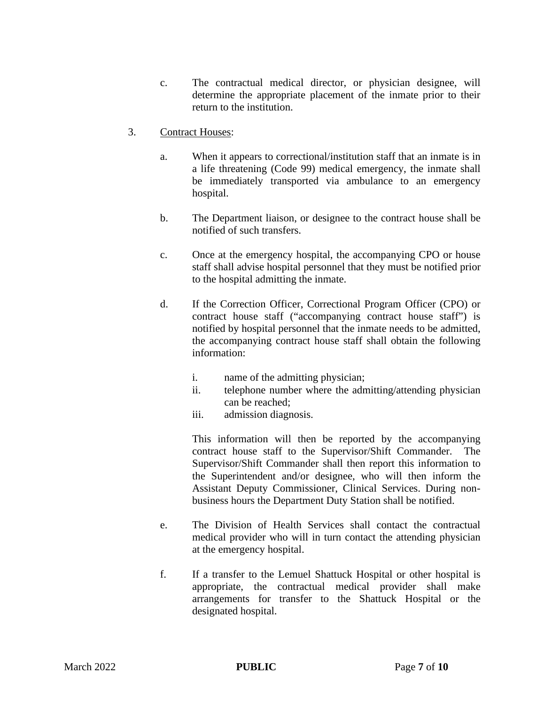- c. The contractual medical director, or physician designee, will determine the appropriate placement of the inmate prior to their return to the institution.
- 3. Contract Houses:
	- a. When it appears to correctional/institution staff that an inmate is in a life threatening (Code 99) medical emergency, the inmate shall be immediately transported via ambulance to an emergency hospital.
	- b. The Department liaison, or designee to the contract house shall be notified of such transfers.
	- c. Once at the emergency hospital, the accompanying CPO or house staff shall advise hospital personnel that they must be notified prior to the hospital admitting the inmate.
	- d. If the Correction Officer, Correctional Program Officer (CPO) or contract house staff ("accompanying contract house staff") is notified by hospital personnel that the inmate needs to be admitted, the accompanying contract house staff shall obtain the following information:
		- i. name of the admitting physician;
		- ii. telephone number where the admitting/attending physician can be reached;
		- iii. admission diagnosis.

This information will then be reported by the accompanying contract house staff to the Supervisor/Shift Commander. The Supervisor/Shift Commander shall then report this information to the Superintendent and/or designee, who will then inform the Assistant Deputy Commissioner, Clinical Services. During nonbusiness hours the Department Duty Station shall be notified.

- e. The Division of Health Services shall contact the contractual medical provider who will in turn contact the attending physician at the emergency hospital.
- f. If a transfer to the Lemuel Shattuck Hospital or other hospital is appropriate, the contractual medical provider shall make arrangements for transfer to the Shattuck Hospital or the designated hospital.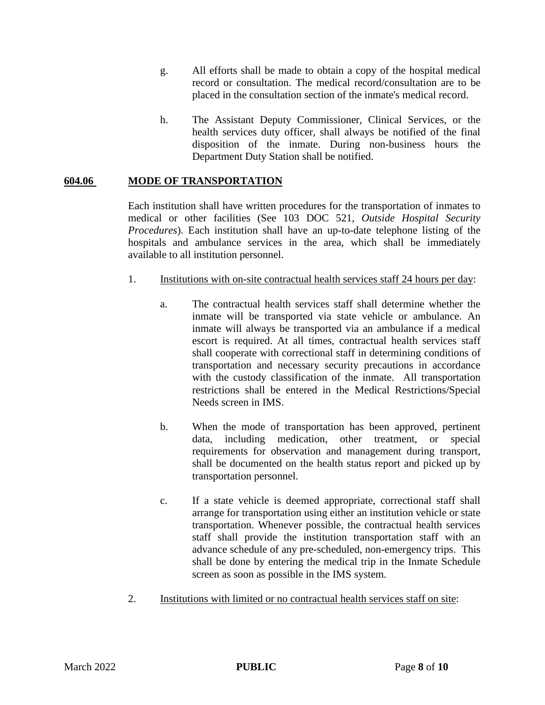- g. All efforts shall be made to obtain a copy of the hospital medical record or consultation. The medical record/consultation are to be placed in the consultation section of the inmate's medical record.
- h. The Assistant Deputy Commissioner, Clinical Services, or the health services duty officer, shall always be notified of the final disposition of the inmate. During non-business hours the Department Duty Station shall be notified.

# **604.06 MODE OF TRANSPORTATION**

Each institution shall have written procedures for the transportation of inmates to medical or other facilities (See 103 DOC 521, *Outside Hospital Security Procedures*). Each institution shall have an up-to-date telephone listing of the hospitals and ambulance services in the area, which shall be immediately available to all institution personnel.

#### 1. Institutions with on-site contractual health services staff 24 hours per day:

- a. The contractual health services staff shall determine whether the inmate will be transported via state vehicle or ambulance. An inmate will always be transported via an ambulance if a medical escort is required. At all times, contractual health services staff shall cooperate with correctional staff in determining conditions of transportation and necessary security precautions in accordance with the custody classification of the inmate. All transportation restrictions shall be entered in the Medical Restrictions/Special Needs screen in IMS.
- b. When the mode of transportation has been approved, pertinent data, including medication, other treatment, or special requirements for observation and management during transport, shall be documented on the health status report and picked up by transportation personnel.
- c. If a state vehicle is deemed appropriate, correctional staff shall arrange for transportation using either an institution vehicle or state transportation. Whenever possible, the contractual health services staff shall provide the institution transportation staff with an advance schedule of any pre-scheduled, non-emergency trips. This shall be done by entering the medical trip in the Inmate Schedule screen as soon as possible in the IMS system.
- 2. Institutions with limited or no contractual health services staff on site: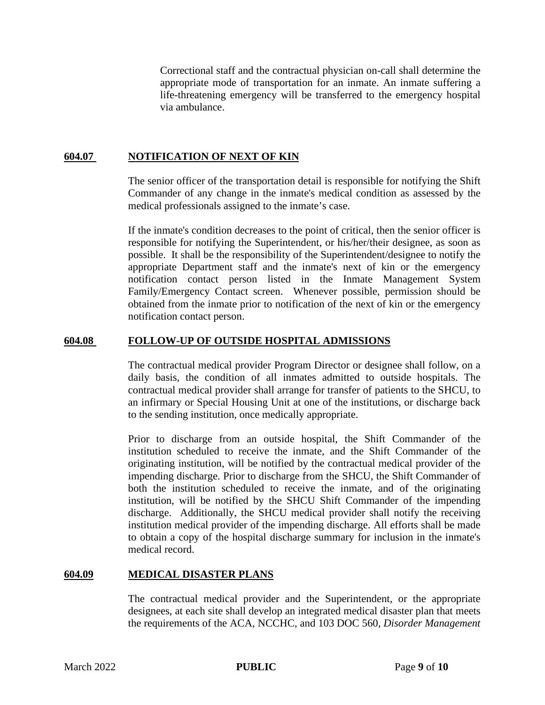Correctional staff and the contractual physician on-call shall determine the appropriate mode of transportation for an inmate. An inmate suffering a life-threatening emergency will be transferred to the emergency hospital via ambulance.

## **604.07 NOTIFICATION OF NEXT OF KIN**

The senior officer of the transportation detail is responsible for notifying the Shift Commander of any change in the inmate's medical condition as assessed by the medical professionals assigned to the inmate's case.

If the inmate's condition decreases to the point of critical, then the senior officer is responsible for notifying the Superintendent, or his/her/their designee, as soon as possible. It shall be the responsibility of the Superintendent/designee to notify the appropriate Department staff and the inmate's next of kin or the emergency notification contact person listed in the Inmate Management System Family/Emergency Contact screen. Whenever possible, permission should be obtained from the inmate prior to notification of the next of kin or the emergency notification contact person.

#### **604.08 FOLLOW-UP OF OUTSIDE HOSPITAL ADMISSIONS**

The contractual medical provider Program Director or designee shall follow, on a daily basis, the condition of all inmates admitted to outside hospitals. The contractual medical provider shall arrange for transfer of patients to the SHCU, to an infirmary or Special Housing Unit at one of the institutions, or discharge back to the sending institution, once medically appropriate.

Prior to discharge from an outside hospital, the Shift Commander of the institution scheduled to receive the inmate, and the Shift Commander of the originating institution, will be notified by the contractual medical provider of the impending discharge. Prior to discharge from the SHCU, the Shift Commander of both the institution scheduled to receive the inmate, and of the originating institution, will be notified by the SHCU Shift Commander of the impending discharge. Additionally, the SHCU medical provider shall notify the receiving institution medical provider of the impending discharge. All efforts shall be made to obtain a copy of the hospital discharge summary for inclusion in the inmate's medical record.

#### **604.09 MEDICAL DISASTER PLANS**

The contractual medical provider and the Superintendent, or the appropriate designees, at each site shall develop an integrated medical disaster plan that meets the requirements of the ACA, NCCHC, and 103 DOC 560, *Disorder Management*